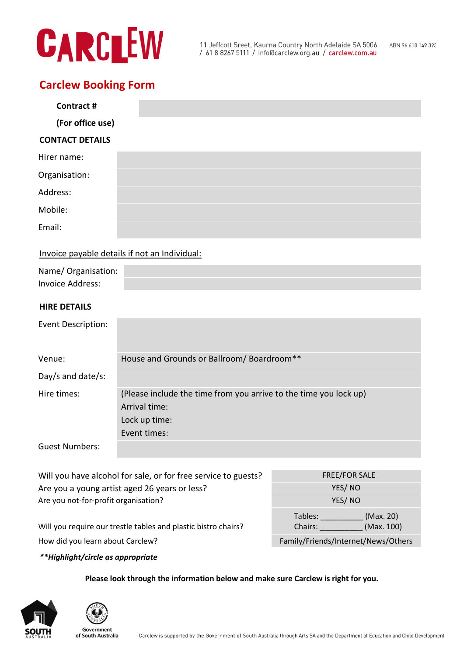# CARCLEW

## **Carclew Booking Form**

| Contract #             |  |
|------------------------|--|
| (For office use)       |  |
| <b>CONTACT DETAILS</b> |  |
| Hirer name:            |  |
| Organisation:          |  |
| Address:               |  |
| Mobile:                |  |
| Email:                 |  |

### Invoice payable details if not an Individual:

| Name/Organisation: |  |
|--------------------|--|
| Invoice Address:   |  |

### **HIRE DETAILS**

| Event Description:    |                                                                                                                     |
|-----------------------|---------------------------------------------------------------------------------------------------------------------|
| Venue:                | House and Grounds or Ballroom/Boardroom**                                                                           |
| Day/s and date/s:     |                                                                                                                     |
| Hire times:           | (Please include the time from you arrive to the time you lock up)<br>Arrival time:<br>Lock up time:<br>Event times: |
| <b>Guest Numbers:</b> |                                                                                                                     |

| Will you have alcohol for sale, or for free service to guests? | <b>FREE/FOR SALE</b>                |  |
|----------------------------------------------------------------|-------------------------------------|--|
| Are you a young artist aged 26 years or less?                  | YES/NO                              |  |
| Are you not-for-profit organisation?                           | YES/NO                              |  |
|                                                                | (Max. 20)<br>Tables:                |  |
| Will you require our trestle tables and plastic bistro chairs? | (Max. 100)<br>Chairs:               |  |
| How did you learn about Carclew?                               | Family/Friends/Internet/News/Others |  |

*\*\*Highlight/circle as appropriate*

**Please look through the information below and make sure Carclew is right for you.**





of South Australia